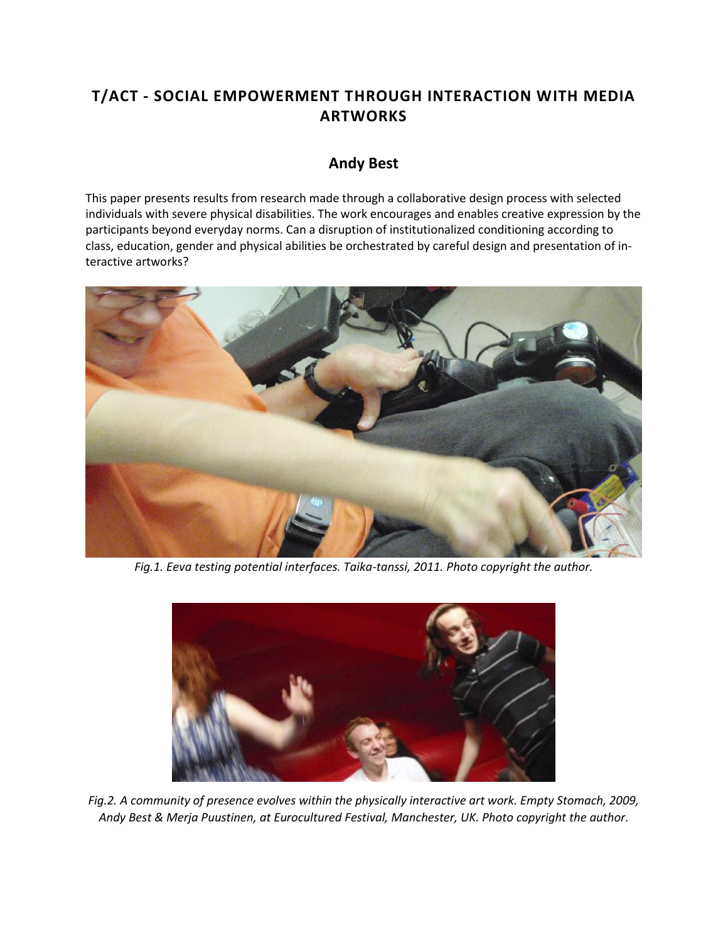## **T/ACT - SOCIAL EMPOWERMENT THROUGH INTERACTION WITH MEDIA ARTWORKS**

## **Andy Best**

This paper presents results from research made through a collaborative design process with selected individuals with severe physical disabilities. The work encourages and enables creative expression by the participants beyond everyday norms. Can a disruption of institutionalized conditioning according to class, education, gender and physical abilities be orchestrated by careful design and presentation of interactive artworks?



*Fig.1. Eeva testing potential interfaces. Taika-tanssi, 2011. Photo copyright the author.*



*Fig.2. A community of presence evolves within the physically interactive art work. Empty Stomach, 2009, Andy Best & Merja Puustinen, at Eurocultured Festival, Manchester, UK. Photo copyright the author.*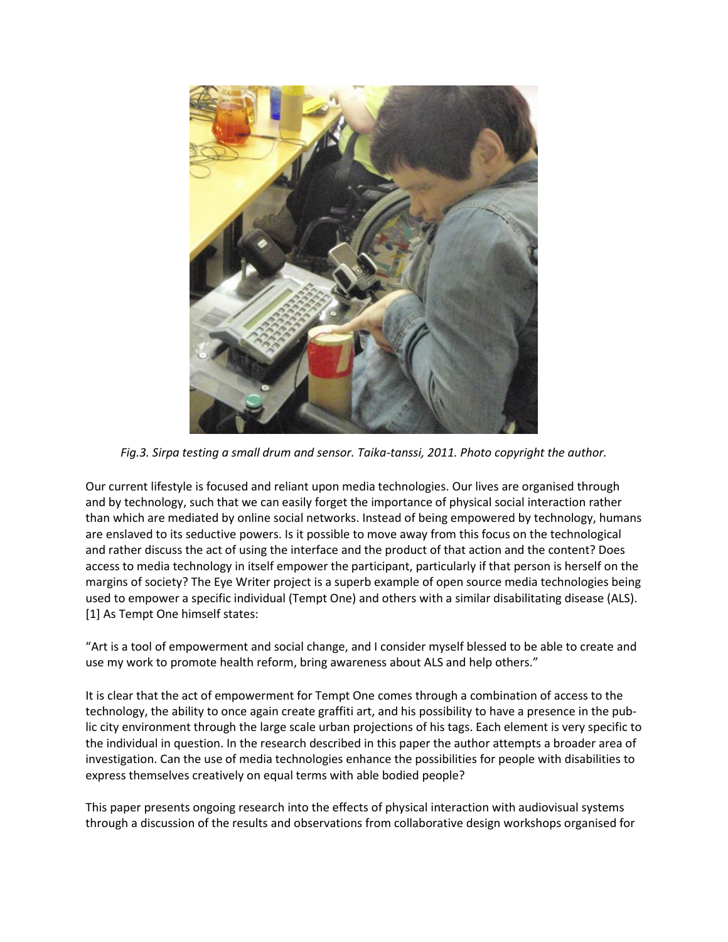

*Fig.3. Sirpa testing a small drum and sensor. Taika-tanssi, 2011. Photo copyright the author.*

Our current lifestyle is focused and reliant upon media technologies. Our lives are organised through and by technology, such that we can easily forget the importance of physical social interaction rather than which are mediated by online social networks. Instead of being empowered by technology, humans are enslaved to its seductive powers. Is it possible to move away from this focus on the technological and rather discuss the act of using the interface and the product of that action and the content? Does access to media technology in itself empower the participant, particularly if that person is herself on the margins of society? The Eye Writer project is a superb example of open source media technologies being used to empower a specific individual (Tempt One) and others with a similar disabilitating disease (ALS). [1] As Tempt One himself states:

"Art is a tool of empowerment and social change, and I consider myself blessed to be able to create and use my work to promote health reform, bring awareness about ALS and help others."

It is clear that the act of empowerment for Tempt One comes through a combination of access to the technology, the ability to once again create graffiti art, and his possibility to have a presence in the public city environment through the large scale urban projections of his tags. Each element is very specific to the individual in question. In the research described in this paper the author attempts a broader area of investigation. Can the use of media technologies enhance the possibilities for people with disabilities to express themselves creatively on equal terms with able bodied people?

This paper presents ongoing research into the effects of physical interaction with audiovisual systems through a discussion of the results and observations from collaborative design workshops organised for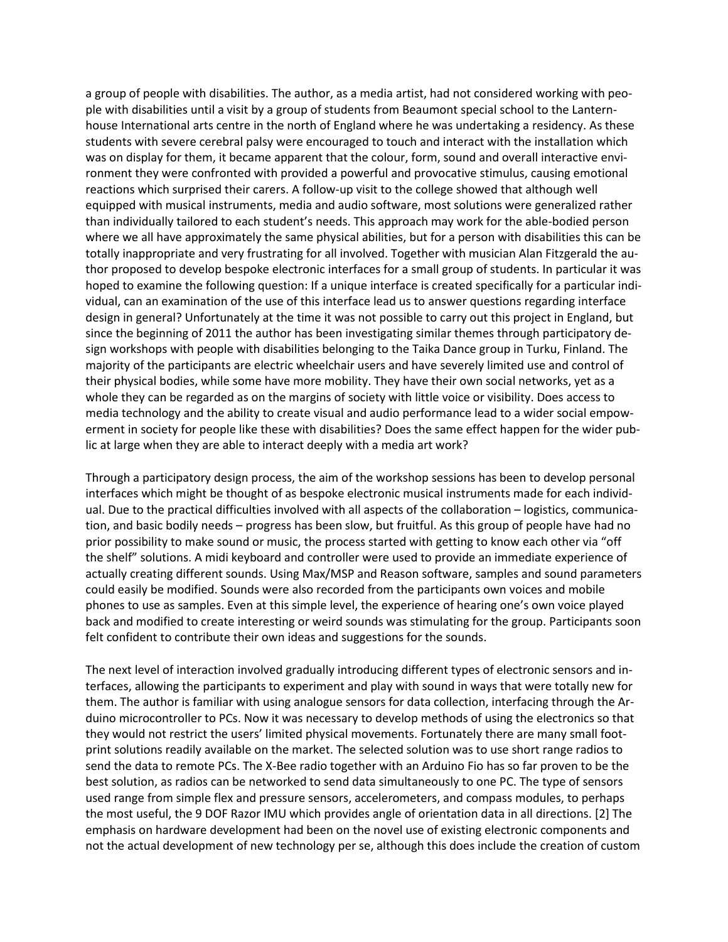a group of people with disabilities. The author, as a media artist, had not considered working with people with disabilities until a visit by a group of students from Beaumont special school to the Lanternhouse International arts centre in the north of England where he was undertaking a residency. As these students with severe cerebral palsy were encouraged to touch and interact with the installation which was on display for them, it became apparent that the colour, form, sound and overall interactive environment they were confronted with provided a powerful and provocative stimulus, causing emotional reactions which surprised their carers. A follow-up visit to the college showed that although well equipped with musical instruments, media and audio software, most solutions were generalized rather than individually tailored to each student's needs. This approach may work for the able-bodied person where we all have approximately the same physical abilities, but for a person with disabilities this can be totally inappropriate and very frustrating for all involved. Together with musician Alan Fitzgerald the author proposed to develop bespoke electronic interfaces for a small group of students. In particular it was hoped to examine the following question: If a unique interface is created specifically for a particular individual, can an examination of the use of this interface lead us to answer questions regarding interface design in general? Unfortunately at the time it was not possible to carry out this project in England, but since the beginning of 2011 the author has been investigating similar themes through participatory design workshops with people with disabilities belonging to the Taika Dance group in Turku, Finland. The majority of the participants are electric wheelchair users and have severely limited use and control of their physical bodies, while some have more mobility. They have their own social networks, yet as a whole they can be regarded as on the margins of society with little voice or visibility. Does access to media technology and the ability to create visual and audio performance lead to a wider social empowerment in society for people like these with disabilities? Does the same effect happen for the wider public at large when they are able to interact deeply with a media art work?

Through a participatory design process, the aim of the workshop sessions has been to develop personal interfaces which might be thought of as bespoke electronic musical instruments made for each individual. Due to the practical difficulties involved with all aspects of the collaboration – logistics, communication, and basic bodily needs – progress has been slow, but fruitful. As this group of people have had no prior possibility to make sound or music, the process started with getting to know each other via "off the shelf" solutions. A midi keyboard and controller were used to provide an immediate experience of actually creating different sounds. Using Max/MSP and Reason software, samples and sound parameters could easily be modified. Sounds were also recorded from the participants own voices and mobile phones to use as samples. Even at this simple level, the experience of hearing one's own voice played back and modified to create interesting or weird sounds was stimulating for the group. Participants soon felt confident to contribute their own ideas and suggestions for the sounds.

The next level of interaction involved gradually introducing different types of electronic sensors and interfaces, allowing the participants to experiment and play with sound in ways that were totally new for them. The author is familiar with using analogue sensors for data collection, interfacing through the Arduino microcontroller to PCs. Now it was necessary to develop methods of using the electronics so that they would not restrict the users' limited physical movements. Fortunately there are many small footprint solutions readily available on the market. The selected solution was to use short range radios to send the data to remote PCs. The X-Bee radio together with an Arduino Fio has so far proven to be the best solution, as radios can be networked to send data simultaneously to one PC. The type of sensors used range from simple flex and pressure sensors, accelerometers, and compass modules, to perhaps the most useful, the 9 DOF Razor IMU which provides angle of orientation data in all directions. [2] The emphasis on hardware development had been on the novel use of existing electronic components and not the actual development of new technology per se, although this does include the creation of custom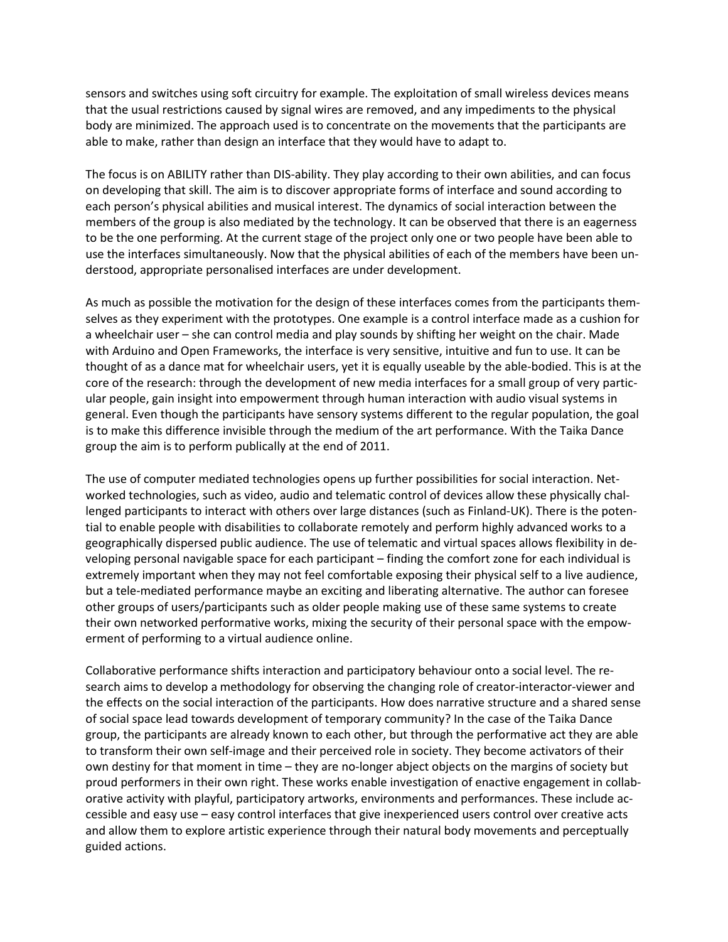sensors and switches using soft circuitry for example. The exploitation of small wireless devices means that the usual restrictions caused by signal wires are removed, and any impediments to the physical body are minimized. The approach used is to concentrate on the movements that the participants are able to make, rather than design an interface that they would have to adapt to.

The focus is on ABILITY rather than DIS-ability. They play according to their own abilities, and can focus on developing that skill. The aim is to discover appropriate forms of interface and sound according to each person's physical abilities and musical interest. The dynamics of social interaction between the members of the group is also mediated by the technology. It can be observed that there is an eagerness to be the one performing. At the current stage of the project only one or two people have been able to use the interfaces simultaneously. Now that the physical abilities of each of the members have been understood, appropriate personalised interfaces are under development.

As much as possible the motivation for the design of these interfaces comes from the participants themselves as they experiment with the prototypes. One example is a control interface made as a cushion for a wheelchair user – she can control media and play sounds by shifting her weight on the chair. Made with Arduino and Open Frameworks, the interface is very sensitive, intuitive and fun to use. It can be thought of as a dance mat for wheelchair users, yet it is equally useable by the able-bodied. This is at the core of the research: through the development of new media interfaces for a small group of very particular people, gain insight into empowerment through human interaction with audio visual systems in general. Even though the participants have sensory systems different to the regular population, the goal is to make this difference invisible through the medium of the art performance. With the Taika Dance group the aim is to perform publically at the end of 2011.

The use of computer mediated technologies opens up further possibilities for social interaction. Networked technologies, such as video, audio and telematic control of devices allow these physically challenged participants to interact with others over large distances (such as Finland-UK). There is the potential to enable people with disabilities to collaborate remotely and perform highly advanced works to a geographically dispersed public audience. The use of telematic and virtual spaces allows flexibility in developing personal navigable space for each participant – finding the comfort zone for each individual is extremely important when they may not feel comfortable exposing their physical self to a live audience, but a tele-mediated performance maybe an exciting and liberating alternative. The author can foresee other groups of users/participants such as older people making use of these same systems to create their own networked performative works, mixing the security of their personal space with the empowerment of performing to a virtual audience online.

Collaborative performance shifts interaction and participatory behaviour onto a social level. The research aims to develop a methodology for observing the changing role of creator-interactor-viewer and the effects on the social interaction of the participants. How does narrative structure and a shared sense of social space lead towards development of temporary community? In the case of the Taika Dance group, the participants are already known to each other, but through the performative act they are able to transform their own self-image and their perceived role in society. They become activators of their own destiny for that moment in time – they are no-longer abject objects on the margins of society but proud performers in their own right. These works enable investigation of enactive engagement in collaborative activity with playful, participatory artworks, environments and performances. These include accessible and easy use – easy control interfaces that give inexperienced users control over creative acts and allow them to explore artistic experience through their natural body movements and perceptually guided actions.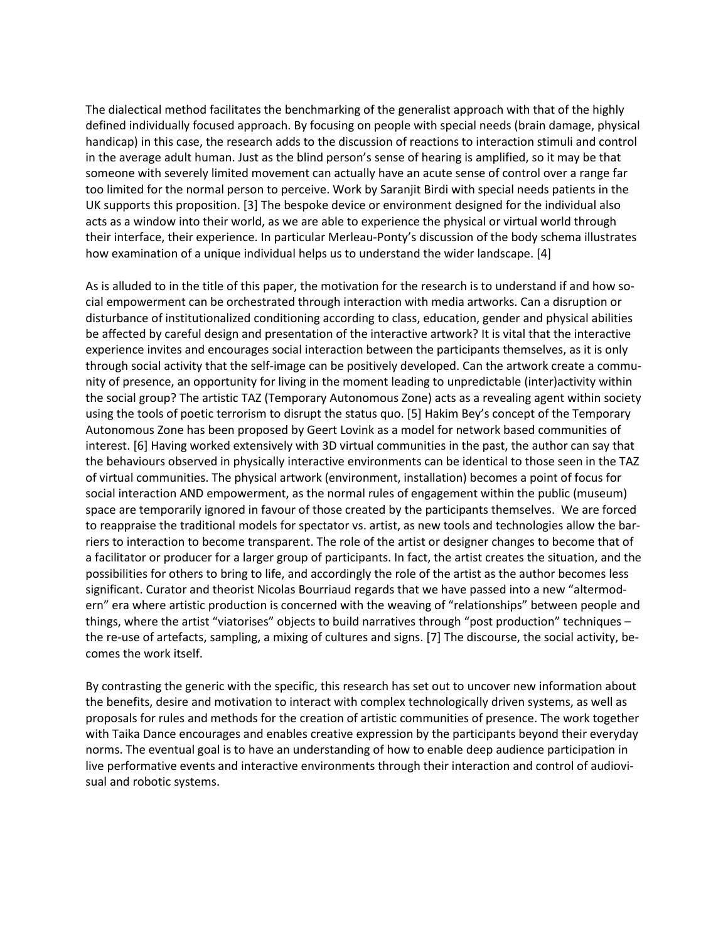The dialectical method facilitates the benchmarking of the generalist approach with that of the highly defined individually focused approach. By focusing on people with special needs (brain damage, physical handicap) in this case, the research adds to the discussion of reactions to interaction stimuli and control in the average adult human. Just as the blind person's sense of hearing is amplified, so it may be that someone with severely limited movement can actually have an acute sense of control over a range far too limited for the normal person to perceive. Work by Saranjit Birdi with special needs patients in the UK supports this proposition. [3] The bespoke device or environment designed for the individual also acts as a window into their world, as we are able to experience the physical or virtual world through their interface, their experience. In particular Merleau-Ponty's discussion of the body schema illustrates how examination of a unique individual helps us to understand the wider landscape. [4]

As is alluded to in the title of this paper, the motivation for the research is to understand if and how social empowerment can be orchestrated through interaction with media artworks. Can a disruption or disturbance of institutionalized conditioning according to class, education, gender and physical abilities be affected by careful design and presentation of the interactive artwork? It is vital that the interactive experience invites and encourages social interaction between the participants themselves, as it is only through social activity that the self-image can be positively developed. Can the artwork create a community of presence, an opportunity for living in the moment leading to unpredictable (inter)activity within the social group? The artistic TAZ (Temporary Autonomous Zone) acts as a revealing agent within society using the tools of poetic terrorism to disrupt the status quo. [5] Hakim Bey's concept of the Temporary Autonomous Zone has been proposed by Geert Lovink as a model for network based communities of interest. [6] Having worked extensively with 3D virtual communities in the past, the author can say that the behaviours observed in physically interactive environments can be identical to those seen in the TAZ of virtual communities. The physical artwork (environment, installation) becomes a point of focus for social interaction AND empowerment, as the normal rules of engagement within the public (museum) space are temporarily ignored in favour of those created by the participants themselves. We are forced to reappraise the traditional models for spectator vs. artist, as new tools and technologies allow the barriers to interaction to become transparent. The role of the artist or designer changes to become that of a facilitator or producer for a larger group of participants. In fact, the artist creates the situation, and the possibilities for others to bring to life, and accordingly the role of the artist as the author becomes less significant. Curator and theorist Nicolas Bourriaud regards that we have passed into a new "altermodern" era where artistic production is concerned with the weaving of "relationships" between people and things, where the artist "viatorises" objects to build narratives through "post production" techniques – the re-use of artefacts, sampling, a mixing of cultures and signs. [7] The discourse, the social activity, becomes the work itself.

By contrasting the generic with the specific, this research has set out to uncover new information about the benefits, desire and motivation to interact with complex technologically driven systems, as well as proposals for rules and methods for the creation of artistic communities of presence. The work together with Taika Dance encourages and enables creative expression by the participants beyond their everyday norms. The eventual goal is to have an understanding of how to enable deep audience participation in live performative events and interactive environments through their interaction and control of audiovisual and robotic systems.